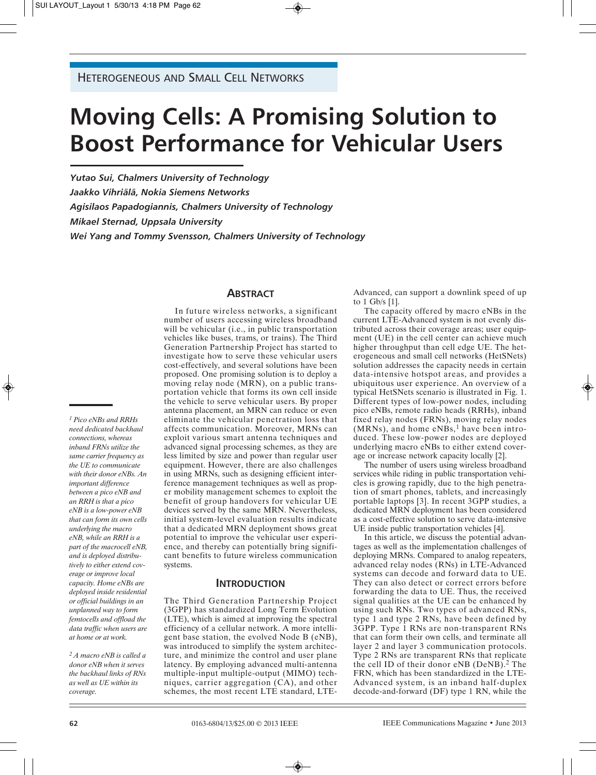# **Moving Cells: A Promising Solution to Boost Performance for Vehicular Users**

*Yutao Sui, Chalmers University of Technology Jaakko Vihriälä, Nokia Siemens Networks Agisilaos Papadogiannis, Chalmers University of Technology Mikael Sternad, Uppsala University Wei Yang and Tommy Svensson, Chalmers University of Technology*

## **ABSTRACT**

In future wireless networks, a significant number of users accessing wireless broadband will be vehicular (i.e., in public transportation vehicles like buses, trams, or trains). The Third Generation Partnership Project has started to investigate how to serve these vehicular users cost-effectively, and several solutions have been proposed. One promising solution is to deploy a moving relay node (MRN), on a public transportation vehicle that forms its own cell inside the vehicle to serve vehicular users. By proper antenna placement, an MRN can reduce or even eliminate the vehicular penetration loss that affects communication. Moreover, MRNs can exploit various smart antenna techniques and advanced signal processing schemes, as they are less limited by size and power than regular user equipment. However, there are also challenges in using MRNs, such as designing efficient interference management techniques as well as proper mobility management schemes to exploit the benefit of group handovers for vehicular UE devices served by the same MRN. Nevertheless, initial system-level evaluation results indicate that a dedicated MRN deployment shows great potential to improve the vehicular user experience, and thereby can potentially bring significant benefits to future wireless communication systems.

### **INTRODUCTION**

The Third Generation Partnership Project (3GPP) has standardized Long Term Evolution (LTE), which is aimed at improving the spectral efficiency of a cellular network. A more intelligent base station, the evolved Node B (eNB), was introduced to simplify the system architecture, and minimize the control and user plane latency. By employing advanced multi-antenna multiple-input multiple-output (MIMO) techniques, carrier aggregation (CA), and other schemes, the most recent LTE standard, LTE-

Advanced, can support a downlink speed of up to 1 Gb/s [1].

The capacity offered by macro eNBs in the current LTE-Advanced system is not evenly distributed across their coverage areas; user equipment (UE) in the cell center can achieve much higher throughput than cell edge UE. The heterogeneous and small cell networks (HetSNets) solution addresses the capacity needs in certain data-intensive hotspot areas, and provides a ubiquitous user experience. An overview of a typical HetSNets scenario is illustrated in Fig. 1. Different types of low-power nodes, including pico eNBs, remote radio heads (RRHs), inband fixed relay nodes (FRNs), moving relay nodes  $(MRNs)$ , and home  $eNBs$ ,<sup>1</sup> have been introduced. These low-power nodes are deployed underlying macro eNBs to either extend coverage or increase network capacity locally [2].

The number of users using wireless broadband services while riding in public transportation vehicles is growing rapidly, due to the high penetration of smart phones, tablets, and increasingly portable laptops [3]. In recent 3GPP studies, a dedicated MRN deployment has been considered as a cost-effective solution to serve data-intensive UE inside public transportation vehicles [4].

In this article, we discuss the potential advantages as well as the implementation challenges of deploying MRNs. Compared to analog repeaters, advanced relay nodes (RNs) in LTE-Advanced systems can decode and forward data to UE. They can also detect or correct errors before forwarding the data to UE. Thus, the received signal qualities at the UE can be enhanced by using such RNs. Two types of advanced RNs, type 1 and type 2 RNs, have been defined by 3GPP. Type 1 RNs are non-transparent RNs that can form their own cells, and terminate all layer 2 and layer 3 communication protocols. Type 2 RNs are transparent RNs that replicate the cell ID of their donor eNB (DeNB).2 The FRN, which has been standardized in the LTE-Advanced system, is an inband half-duplex decode-and-forward (DF) type 1 RN, while the

*<sup>1</sup> Pico eNBs and RRHs need dedicated backhaul connections, whereas inband FRNs utilize the same carrier frequency as the UE to communicate with their donor eNBs. An important difference between a pico eNB and an RRH is that a pico eNB is a low-power eNB that can form its own cells underlying the macro eNB, while an RRH is a part of the macrocell eNB, and is deployed distributively to either extend coverage or improve local capacity. Home eNBs are deployed inside residential or official buildings in an unplanned way to form femtocells and offload the data traffic when users are at home or at work.*

*<sup>2</sup> A macro eNB is called a donor eNB when it serves the backhaul links of RNs as well as UE within its coverage.*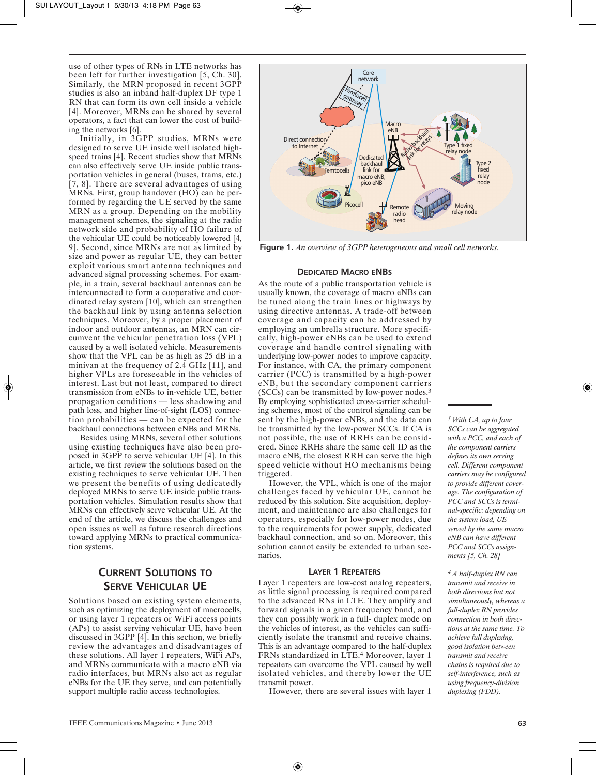use of other types of RNs in LTE networks has been left for further investigation [5, Ch. 30]. Similarly, the MRN proposed in recent 3GPP studies is also an inband half-duplex DF type 1 RN that can form its own cell inside a vehicle [4]. Moreover, MRNs can be shared by several operators, a fact that can lower the cost of building the networks [6].

Initially, in 3GPP studies, MRNs were designed to serve UE inside well isolated highspeed trains [4]. Recent studies show that MRNs can also effectively serve UE inside public transportation vehicles in general (buses, trams, etc.) [7, 8]. There are several advantages of using MRNs. First, group handover (HO) can be performed by regarding the UE served by the same MRN as a group. Depending on the mobility management schemes, the signaling at the radio network side and probability of HO failure of the vehicular UE could be noticeably lowered [4, 9]. Second, since MRNs are not as limited by size and power as regular UE, they can better exploit various smart antenna techniques and advanced signal processing schemes. For example, in a train, several backhaul antennas can be interconnected to form a cooperative and coordinated relay system [10], which can strengthen the backhaul link by using antenna selection techniques. Moreover, by a proper placement of indoor and outdoor antennas, an MRN can circumvent the vehicular penetration loss (VPL) caused by a well isolated vehicle. Measurements show that the VPL can be as high as 25 dB in a minivan at the frequency of 2.4 GHz [11], and higher VPLs are foreseeable in the vehicles of interest. Last but not least, compared to direct transmission from eNBs to in-vehicle UE, better propagation conditions — less shadowing and path loss, and higher line-of-sight (LOS) connection probabilities — can be expected for the backhaul connections between eNBs and MRNs.

Besides using MRNs, several other solutions using existing techniques have also been proposed in 3GPP to serve vehicular UE [4]. In this article, we first review the solutions based on the existing techniques to serve vehicular UE. Then we present the benefits of using dedicatedly deployed MRNs to serve UE inside public transportation vehicles. Simulation results show that MRNs can effectively serve vehicular UE. At the end of the article, we discuss the challenges and open issues as well as future research directions toward applying MRNs to practical communication systems.

# **CURRENT SOLUTIONS TO SERVE VEHICULAR UE**

Solutions based on existing system elements, such as optimizing the deployment of macrocells, or using layer 1 repeaters or WiFi access points (APs) to assist serving vehicular UE, have been discussed in 3GPP [4]. In this section, we briefly review the advantages and disadvantages of these solutions. All layer 1 repeaters, WiFi APs, and MRNs communicate with a macro eNB via radio interfaces, but MRNs also act as regular eNBs for the UE they serve, and can potentially support multiple radio access technologies.



**Figure 1.** *An overview of 3GPP heterogeneous and small cell networks.*

## **DEDICATED MACRO ENBS**

As the route of a public transportation vehicle is usually known, the coverage of macro eNBs can be tuned along the train lines or highways by using directive antennas. A trade-off between coverage and capacity can be addressed by employing an umbrella structure. More specifically, high-power eNBs can be used to extend coverage and handle control signaling with underlying low-power nodes to improve capacity. For instance, with CA, the primary component carrier (PCC) is transmitted by a high-power eNB, but the secondary component carriers (SCCs) can be transmitted by low-power nodes.3 By employing sophisticated cross-carrier scheduling schemes, most of the control signaling can be sent by the high-power eNBs, and the data can be transmitted by the low-power SCCs. If CA is not possible, the use of RRHs can be considered. Since RRHs share the same cell ID as the macro eNB, the closest RRH can serve the high speed vehicle without HO mechanisms being triggered.

However, the VPL, which is one of the major challenges faced by vehicular UE, cannot be reduced by this solution. Site acquisition, deployment, and maintenance are also challenges for operators, especially for low-power nodes, due to the requirements for power supply, dedicated backhaul connection, and so on. Moreover, this solution cannot easily be extended to urban scenarios.

## **LAYER 1 REPEATERS**

Layer 1 repeaters are low-cost analog repeaters, as little signal processing is required compared to the advanced RNs in LTE. They amplify and forward signals in a given frequency band, and they can possibly work in a full- duplex mode on the vehicles of interest, as the vehicles can sufficiently isolate the transmit and receive chains. This is an advantage compared to the half-duplex FRNs standardized in LTE.4 Moreover, layer 1 repeaters can overcome the VPL caused by well isolated vehicles, and thereby lower the UE transmit power.

However, there are several issues with layer 1

*<sup>3</sup> With CA, up to four SCCs can be aggregated with a PCC, and each of the component carriers defines its own serving cell. Different component carriers may be configured to provide different coverage. The configuration of PCC and SCCs is terminal-specific: depending on the system load, UE served by the same macro eNB can have different PCC and SCCs assignments [5, Ch. 28]*

*<sup>4</sup> A half-duplex RN can transmit and receive in both directions but not simultaneously, whereas a full-duplex RN provides connection in both directions at the same time. To achieve full duplexing, good isolation between transmit and receive chains is required due to self-interference, such as using frequency-division duplexing (FDD).*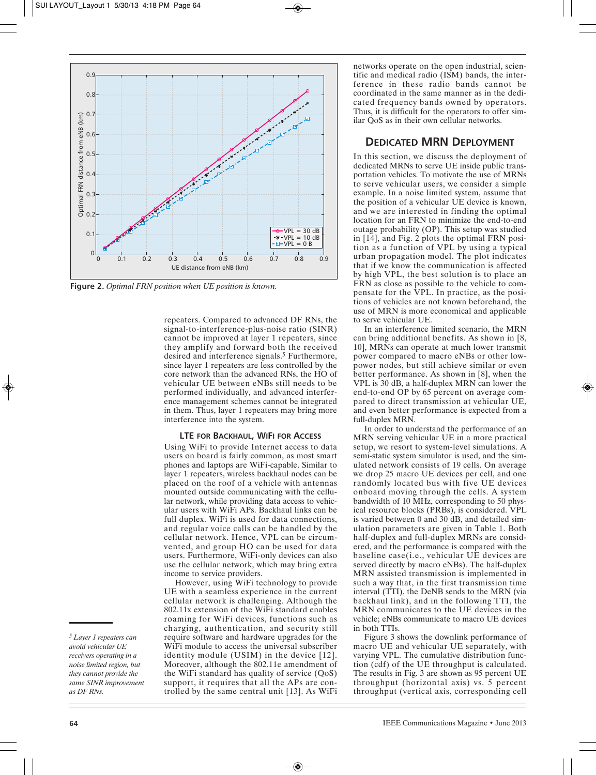

**Figure 2.** *Optimal FRN position when UE position is known.*

repeaters. Compared to advanced DF RNs, the signal-to-interference-plus-noise ratio (SINR) cannot be improved at layer 1 repeaters, since they amplify and forward both the received desired and interference signals.<sup>5</sup> Furthermore, since layer 1 repeaters are less controlled by the core network than the advanced RNs, the HO of vehicular UE between eNBs still needs to be performed individually, and advanced interference management schemes cannot be integrated in them. Thus, layer 1 repeaters may bring more interference into the system.

#### **LTE FOR BACKHAUL, WIFI FOR ACCESS**

Using WiFi to provide Internet access to data users on board is fairly common, as most smart phones and laptops are WiFi-capable. Similar to layer 1 repeaters, wireless backhaul nodes can be placed on the roof of a vehicle with antennas mounted outside communicating with the cellular network, while providing data access to vehicular users with WiFi APs. Backhaul links can be full duplex. WiFi is used for data connections, and regular voice calls can be handled by the cellular network. Hence, VPL can be circumvented, and group HO can be used for data users. Furthermore, WiFi-only devices can also use the cellular network, which may bring extra income to service providers.

However, using WiFi technology to provide UE with a seamless experience in the current cellular network is challenging. Although the 802.11x extension of the WiFi standard enables roaming for WiFi devices, functions such as charging, authentication, and security still require software and hardware upgrades for the WiFi module to access the universal subscriber identity module (USIM) in the device [12]. Moreover, although the 802.11e amendment of the WiFi standard has quality of service (QoS) support, it requires that all the APs are controlled by the same central unit [13]. As WiFi networks operate on the open industrial, scientific and medical radio (ISM) bands, the interference in these radio bands cannot be coordinated in the same manner as in the dedicated frequency bands owned by operators. Thus, it is difficult for the operators to offer similar QoS as in their own cellular networks.

## **DEDICATED MRN DEPLOYMENT**

In this section, we discuss the deployment of dedicated MRNs to serve UE inside public transportation vehicles. To motivate the use of MRNs to serve vehicular users, we consider a simple example. In a noise limited system, assume that the position of a vehicular UE device is known, and we are interested in finding the optimal location for an FRN to minimize the end-to-end outage probability (OP). This setup was studied in [14], and Fig. 2 plots the optimal FRN position as a function of VPL by using a typical urban propagation model. The plot indicates that if we know the communication is affected by high VPL, the best solution is to place an FRN as close as possible to the vehicle to compensate for the VPL. In practice, as the positions of vehicles are not known beforehand, the use of MRN is more economical and applicable to serve vehicular UE.

In an interference limited scenario, the MRN can bring additional benefits. As shown in [8, 10], MRNs can operate at much lower transmit power compared to macro eNBs or other lowpower nodes, but still achieve similar or even better performance. As shown in [8], when the VPL is 30 dB, a half-duplex MRN can lower the end-to-end OP by 65 percent on average compared to direct transmission at vehicular UE, and even better performance is expected from a full-duplex MRN.

In order to understand the performance of an MRN serving vehicular UE in a more practical setup, we resort to system-level simulations. A semi-static system simulator is used, and the simulated network consists of 19 cells. On average we drop 25 macro UE devices per cell, and one randomly located bus with five UE devices onboard moving through the cells. A system bandwidth of 10 MHz, corresponding to 50 physical resource blocks (PRBs), is considered. VPL is varied between 0 and 30 dB, and detailed simulation parameters are given in Table 1. Both half-duplex and full-duplex MRNs are considered, and the performance is compared with the baseline case(i.e., vehicular UE devices are served directly by macro eNBs). The half-duplex MRN assisted transmission is implemented in such a way that, in the first transmission time interval (TTI), the DeNB sends to the MRN (via backhaul link), and in the following TTI, the MRN communicates to the UE devices in the vehicle; eNBs communicate to macro UE devices in both TTIs.

Figure 3 shows the downlink performance of macro UE and vehicular UE separately, with varying VPL. The cumulative distribution function (cdf) of the UE throughput is calculated. The results in Fig. 3 are shown as 95 percent UE throughput (horizontal axis) vs. 5 percent throughput (vertical axis, corresponding cell

*<sup>5</sup> Layer 1 repeaters can avoid vehicular UE receivers operating in a noise limited region, but they cannot provide the same SINR improvement as DF RNs.*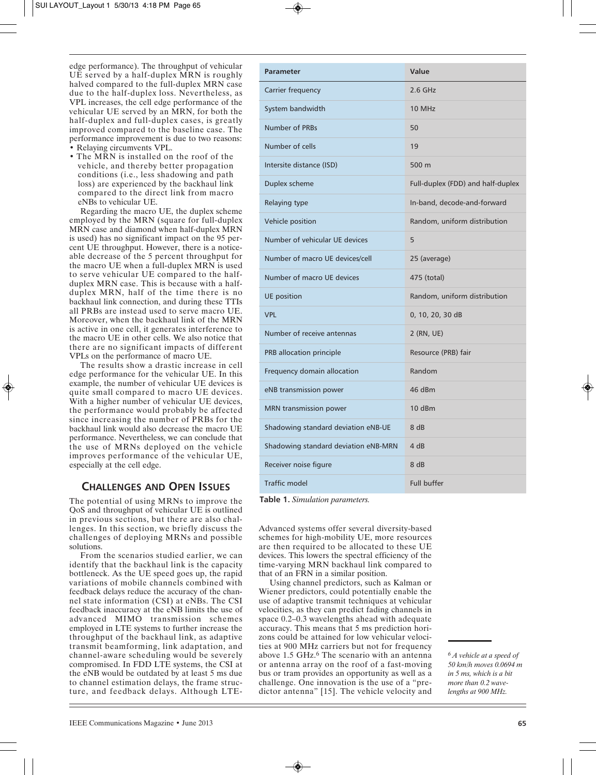edge performance). The throughput of vehicular UE served by a half-duplex MRN is roughly halved compared to the full-duplex MRN case due to the half-duplex loss. Nevertheless, as VPL increases, the cell edge performance of the vehicular UE served by an MRN, for both the half-duplex and full-duplex cases, is greatly improved compared to the baseline case. The performance improvement is due to two reasons: • Relaying circumvents VPL.

• The MRN is installed on the roof of the vehicle, and thereby better propagation conditions (i.e., less shadowing and path loss) are experienced by the backhaul link compared to the direct link from macro eNBs to vehicular UE.

Regarding the macro UE, the duplex scheme employed by the MRN (square for full-duplex MRN case and diamond when half-duplex MRN is used) has no significant impact on the 95 percent UE throughput. However, there is a noticeable decrease of the 5 percent throughput for the macro UE when a full-duplex MRN is used to serve vehicular UE compared to the halfduplex MRN case. This is because with a halfduplex MRN, half of the time there is no backhaul link connection, and during these TTIs all PRBs are instead used to serve macro UE. Moreover, when the backhaul link of the MRN is active in one cell, it generates interference to the macro UE in other cells. We also notice that there are no significant impacts of different VPLs on the performance of macro UE.

The results show a drastic increase in cell edge performance for the vehicular UE. In this example, the number of vehicular UE devices is quite small compared to macro UE devices. With a higher number of vehicular UE devices, the performance would probably be affected since increasing the number of PRBs for the backhaul link would also decrease the macro UE performance. Nevertheless, we can conclude that the use of MRNs deployed on the vehicle improves performance of the vehicular UE, especially at the cell edge.

## **CHALLENGES AND OPEN ISSUES**

The potential of using MRNs to improve the QoS and throughput of vehicular UE is outlined in previous sections, but there are also challenges. In this section, we briefly discuss the challenges of deploying MRNs and possible solutions.

From the scenarios studied earlier, we can identify that the backhaul link is the capacity bottleneck. As the UE speed goes up, the rapid variations of mobile channels combined with feedback delays reduce the accuracy of the channel state information (CSI) at eNBs. The CSI feedback inaccuracy at the eNB limits the use of advanced MIMO transmission schemes employed in LTE systems to further increase the throughput of the backhaul link, as adaptive transmit beamforming, link adaptation, and channel-aware scheduling would be severely compromised. In FDD LTE systems, the CSI at the eNB would be outdated by at least 5 ms due to channel estimation delays, the frame structure, and feedback delays. Although LTE-

| <b>Parameter</b>                     | Value                             |
|--------------------------------------|-----------------------------------|
| Carrier frequency                    | $2.6$ GHz                         |
| System bandwidth                     | 10 MHz                            |
| <b>Number of PRBs</b>                | 50                                |
| Number of cells                      | 19                                |
| Intersite distance (ISD)             | 500 m                             |
| Duplex scheme                        | Full-duplex (FDD) and half-duplex |
| Relaying type                        | In-band, decode-and-forward       |
| Vehicle position                     | Random, uniform distribution      |
| Number of vehicular UE devices       | 5                                 |
| Number of macro UE devices/cell      | 25 (average)                      |
| Number of macro UF devices           | 475 (total)                       |
| <b>UE</b> position                   | Random, uniform distribution      |
| <b>VPI</b>                           | 0, 10, 20, 30 dB                  |
| Number of receive antennas           | 2 (RN, UE)                        |
| PRB allocation principle             | Resource (PRB) fair               |
| Frequency domain allocation          | Random                            |
| eNB transmission power               | 46 dBm                            |
| <b>MRN</b> transmission power        | 10 dBm                            |
| Shadowing standard deviation eNB-UE  | 8 dB                              |
| Shadowing standard deviation eNB-MRN | 4 dB                              |
| Receiver noise figure                | 8 dB                              |
| <b>Traffic model</b>                 | <b>Full buffer</b>                |

**Table 1.** *Simulation parameters.*

Advanced systems offer several diversity-based schemes for high-mobility UE, more resources are then required to be allocated to these UE devices. This lowers the spectral efficiency of the time-varying MRN backhaul link compared to that of an FRN in a similar position.

Using channel predictors, such as Kalman or Wiener predictors, could potentially enable the use of adaptive transmit techniques at vehicular velocities, as they can predict fading channels in space 0.2–0.3 wavelengths ahead with adequate accuracy. This means that 5 ms prediction horizons could be attained for low vehicular velocities at 900 MHz carriers but not for frequency above 1.5 GHz.<sup>6</sup> The scenario with an antenna or antenna array on the roof of a fast-moving bus or tram provides an opportunity as well as a challenge. One innovation is the use of a "predictor antenna" [15]. The vehicle velocity and

*<sup>6</sup> A vehicle at a speed of 50 km/h moves 0.0694 m in 5 ms, which is a bit more than 0.2 wavelengths at 900 MHz.*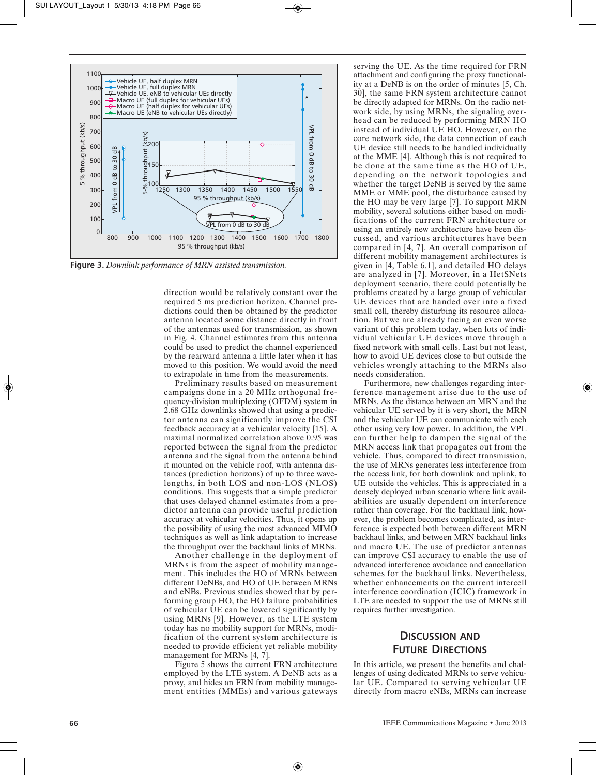

**Figure 3.** *Downlink performance of MRN assisted transmission.*

direction would be relatively constant over the required 5 ms prediction horizon. Channel predictions could then be obtained by the predictor antenna located some distance directly in front of the antennas used for transmission, as shown in Fig. 4. Channel estimates from this antenna could be used to predict the channel experienced by the rearward antenna a little later when it has moved to this position. We would avoid the need to extrapolate in time from the measurements.

Preliminary results based on measurement campaigns done in a 20 MHz orthogonal frequency-division multiplexing (OFDM) system in 2.68 GHz downlinks showed that using a predictor antenna can significantly improve the CSI feedback accuracy at a vehicular velocity [15]. A maximal normalized correlation above 0.95 was reported between the signal from the predictor antenna and the signal from the antenna behind it mounted on the vehicle roof, with antenna distances (prediction horizons) of up to three wavelengths, in both LOS and non-LOS (NLOS) conditions. This suggests that a simple predictor that uses delayed channel estimates from a predictor antenna can provide useful prediction accuracy at vehicular velocities. Thus, it opens up the possibility of using the most advanced MIMO techniques as well as link adaptation to increase the throughput over the backhaul links of MRNs.

Another challenge in the deployment of MRNs is from the aspect of mobility management. This includes the HO of MRNs between different DeNBs, and HO of UE between MRNs and eNBs. Previous studies showed that by performing group HO, the HO failure probabilities of vehicular UE can be lowered significantly by using MRNs [9]. However, as the LTE system today has no mobility support for MRNs, modification of the current system architecture is needed to provide efficient yet reliable mobility management for MRNs [4, 7].

Figure 5 shows the current FRN architecture employed by the LTE system. A DeNB acts as a proxy, and hides an FRN from mobility management entities (MMEs) and various gateways serving the UE. As the time required for FRN attachment and configuring the proxy functionality at a DeNB is on the order of minutes [5, Ch. 30], the same FRN system architecture cannot be directly adapted for MRNs. On the radio network side, by using MRNs, the signaling overhead can be reduced by performing MRN HO instead of individual UE HO. However, on the core network side, the data connection of each UE device still needs to be handled individually at the MME [4]. Although this is not required to be done at the same time as the HO of UE, depending on the network topologies and whether the target DeNB is served by the same MME or MME pool, the disturbance caused by the HO may be very large [7]. To support MRN mobility, several solutions either based on modifications of the current FRN architecture or using an entirely new architecture have been discussed, and various architectures have been compared in [4, 7]. An overall comparison of different mobility management architectures is given in [4, Table 6.1], and detailed HO delays are analyzed in [7]. Moreover, in a HetSNets deployment scenario, there could potentially be problems created by a large group of vehicular UE devices that are handed over into a fixed small cell, thereby disturbing its resource allocation. But we are already facing an even worse variant of this problem today, when lots of individual vehicular UE devices move through a fixed network with small cells. Last but not least, how to avoid UE devices close to but outside the vehicles wrongly attaching to the MRNs also needs consideration.

Furthermore, new challenges regarding interference management arise due to the use of MRNs. As the distance between an MRN and the vehicular UE served by it is very short, the MRN and the vehicular UE can communicate with each other using very low power. In addition, the VPL can further help to dampen the signal of the MRN access link that propagates out from the vehicle. Thus, compared to direct transmission, the use of MRNs generates less interference from the access link, for both downlink and uplink, to UE outside the vehicles. This is appreciated in a densely deployed urban scenario where link availabilities are usually dependent on interference rather than coverage. For the backhaul link, however, the problem becomes complicated, as interference is expected both between different MRN backhaul links, and between MRN backhaul links and macro UE. The use of predictor antennas can improve CSI accuracy to enable the use of advanced interference avoidance and cancellation schemes for the backhaul links. Nevertheless, whether enhancements on the current intercell interference coordination (ICIC) framework in LTE are needed to support the use of MRNs still requires further investigation.

# **DISCUSSION AND FUTURE DIRECTIONS**

In this article, we present the benefits and challenges of using dedicated MRNs to serve vehicular UE. Compared to serving vehicular UE directly from macro eNBs, MRNs can increase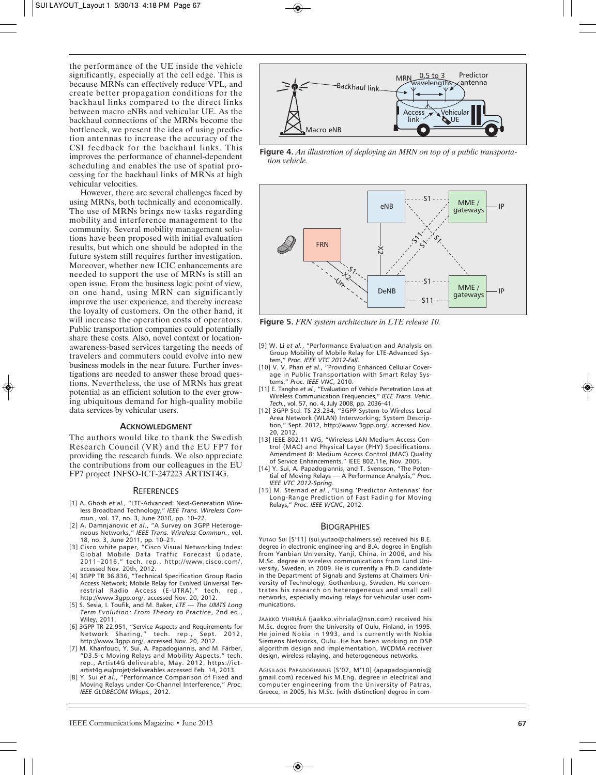the performance of the UE inside the vehicle significantly, especially at the cell edge. This is because MRNs can effectively reduce VPL, and create better propagation conditions for the backhaul links compared to the direct links between macro eNBs and vehicular UE. As the backhaul connections of the MRNs become the bottleneck, we present the idea of using prediction antennas to increase the accuracy of the CSI feedback for the backhaul links. This improves the performance of channel-dependent scheduling and enables the use of spatial processing for the backhaul links of MRNs at high vehicular velocities.

However, there are several challenges faced by using MRNs, both technically and economically. The use of MRNs brings new tasks regarding mobility and interference management to the community. Several mobility management solutions have been proposed with initial evaluation results, but which one should be adopted in the future system still requires further investigation. Moreover, whether new ICIC enhancements are needed to support the use of MRNs is still an open issue. From the business logic point of view, on one hand, using MRN can significantly improve the user experience, and thereby increase the loyalty of customers. On the other hand, it will increase the operation costs of operators. Public transportation companies could potentially share these costs. Also, novel context or locationawareness-based services targeting the needs of travelers and commuters could evolve into new business models in the near future. Further investigations are needed to answer these broad questions. Nevertheless, the use of MRNs has great potential as an efficient solution to the ever growing ubiquitous demand for high-quality mobile data services by vehicular users.

#### **ACKNOWLEDGMENT**

The authors would like to thank the Swedish Research Council (VR) and the EU FP7 for providing the research funds. We also appreciate the contributions from our colleagues in the EU FP7 project INFSO-ICT-247223 ARTIST4G.

#### **REFERENCES**

- [1] A. Ghosh *et al.*, "LTE-Advanced: Next-Generation Wireless Broadband Technology," *IEEE Trans. Wireless Commun.*, vol. 17, no. 3, June 2010, pp. 10–22.
- [2] A. Damnjanovic *et al.*, "A Survey on 3GPP Heterogeneous Networks," *IEEE Trans. Wireless Commun.*, vol. 18, no. 3, June 2011, pp. 10–21.
- [3] Cisco white paper, "Cisco Visual Networking Index: Global Mobile Data Traffic Forecast Update, 2011–2016," tech. rep., http://www.cisco.com/, accessed Nov. 20th, 2012.
- [4] 3GPP TR 36.836, "Technical Specification Group Radio Access Network; Mobile Relay for Evolved Universal Terrestrial Radio Access (E-UTRA)," tech. rep., http://www.3gpp.org/, accessed Nov. 20, 2012.
- [5] S. Sesia, I. Toufik, and M. Baker, *LTE The UMTS Long Term Evolution: From Theory to Practice*, 2nd ed., Wiley, 2011.
- [6] 3GPP TR 22.951, "Service Aspects and Requirements for Network Sharing," tech. rep., Sept. 2012, http://www.3gpp.org/, accessed Nov. 20, 2012.
- [7] M. Khanfouci, Y. Sui, A. Papadogiannis, and M. Färber, "D3.5-c Moving Relays and Mobility Aspects," tech. rep., Artist4G deliverable, May. 2012, https://ictartist4g.eu/projet/deliverables accessed Feb. 14, 2013.
- [8] Y. Sui *et al.*, "Performance Comparison of Fixed and Moving Relays under Co-Channel Interference," *Proc. IEEE GLOBECOM Wksps.*, 2012.



**Figure 4.** *An illustration of deploying an MRN on top of a public transportation vehicle.*



**Figure 5.** *FRN system architecture in LTE release 10.*

- [9] W. Li *et al.*, "Performance Evaluation and Analysis on Group Mobility of Mobile Relay for LTE-Advanced System," *Proc. IEEE VTC 2012-Fall*.
- [10] V. V. Phan *et al.*, "Providing Enhanced Cellular Coverage in Public Transportation with Smart Relay Systems," *Proc. IEEE VNC*, 2010.
- [11] E. Tanghe *et al.*, "Evaluation of Vehicle Penetration Loss at Wireless Communication Frequencies," *IEEE Trans. Vehic. Tech.*, vol. 57, no. 4, July 2008, pp. 2036–41.
- [12] 3GPP Std. TS 23.234, "3GPP System to Wireless Local Area Network (WLAN) Interworking; System Description," Sept. 2012, http://www.3gpp.org/, accessed Nov. 20, 2012.
- [13] IEEE 802.11 WG, "Wireless LAN Medium Access Control (MAC) and Physical Layer (PHY) Specifications. Amendment 8: Medium Access Control (MAC) Quality of Service Enhancements," IEEE 802.11e, Nov. 2005.
- [14] Y. Sui, A. Papadogiannis, and T. Svensson, "The Potential of Moving Relays — A Performance Analysis," *Proc. IEEE VTC 2012-Spring*.
- [15] M. Sternad *et al.*, "Using 'Predictor Antennas' for Long-Range Prediction of Fast Fading for Moving Relays," *Proc. IEEE WCNC*, 2012.

#### **BIOGRAPHIES**

YUTAO SUI [S'11] (sui.yutao@chalmers.se) received his B.E. degree in electronic engineering and B.A. degree in English from Yanbian University, Yanji, China, in 2006, and his M.Sc. degree in wireless communications from Lund University, Sweden, in 2009. He is currently a Ph.D. candidate in the Department of Signals and Systems at Chalmers University of Technology, Gothenburg, Sweden. He concentrates his research on heterogeneous and small cell networks, especially moving relays for vehicular user communications.

JAAKKO VIHRIÄLÄ (jaakko.vihriala@nsn.com) received his M.Sc. degree from the University of Oulu, Finland, in 1995. He joined Nokia in 1993, and is currently with Nokia Siemens Networks, Oulu. He has been working on DSP algorithm design and implementation, WCDMA receiver design, wireless relaying, and heterogeneous networks.

AGISILAOS PAPADOGIANNIS [S'07, M'10] (apapadogiannis@ gmail.com) received his M.Eng. degree in electrical and computer engineering from the University of Patras, Greece, in 2005, his M.Sc. (with distinction) degree in com